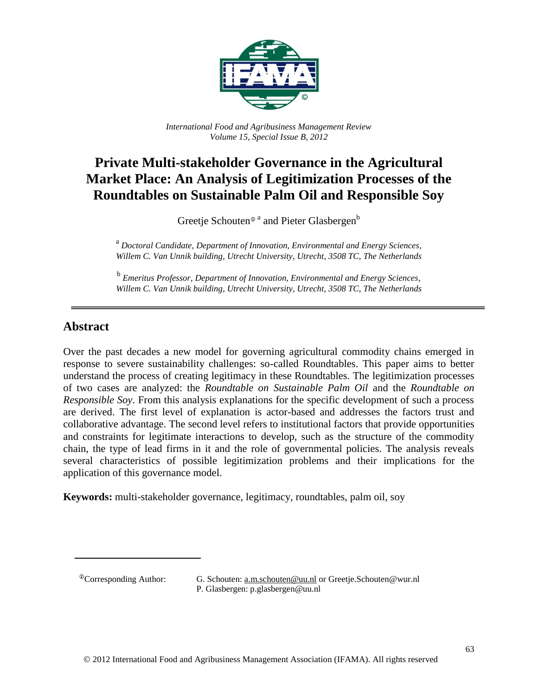

*International Food and Agribusiness Management Review Volume 15, Special Issue B, 2012*

# **Private Multi-stakeholder Governance in the Agricultural Market Place: An Analysis of Legitimization Processes of the Roundtables on Sustainable Palm Oil and Responsible Soy**

Greetje Schouten®<sup>a</sup> and Pieter Glasbergen<sup>b</sup>

<sup>a</sup> Doctoral Candidate, Department of Innovation, Environmental and Energy Sciences, *Willem C. Van Unnik building, Utrecht University, Utrecht*, *3508 TC, The Netherlands*

b *Emeritus Professor, Department of Innovation, Environmental and Energy Sciences, Willem C. Van Unnik building, Utrecht University, Utrecht, 3508 TC, The Netherlands*

#### **Abstract**

Over the past decades a new model for governing agricultural commodity chains emerged in response to severe sustainability challenges: so-called Roundtables. This paper aims to better understand the process of creating legitimacy in these Roundtables. The legitimization processes of two cases are analyzed: the *Roundtable on Sustainable Palm Oil* and the *Roundtable on Responsible Soy*. From this analysis explanations for the specific development of such a process are derived. The first level of explanation is actor-based and addresses the factors trust and collaborative advantage. The second level refers to institutional factors that provide opportunities and constraints for legitimate interactions to develop, such as the structure of the commodity chain, the type of lead firms in it and the role of governmental policies. The analysis reveals several characteristics of possible legitimization problems and their implications for the application of this governance model.

**Keywords:** multi-stakeholder governance, legitimacy, roundtables, palm oil, soy

<sup>&</sup>lt;sup>®</sup>Corresponding Author: G. Schouten: <u>a.m.schouten@uu.nl</u> or Greetje.Schouten@wur.nl P. Glasbergen: p.glasbergen@uu.nl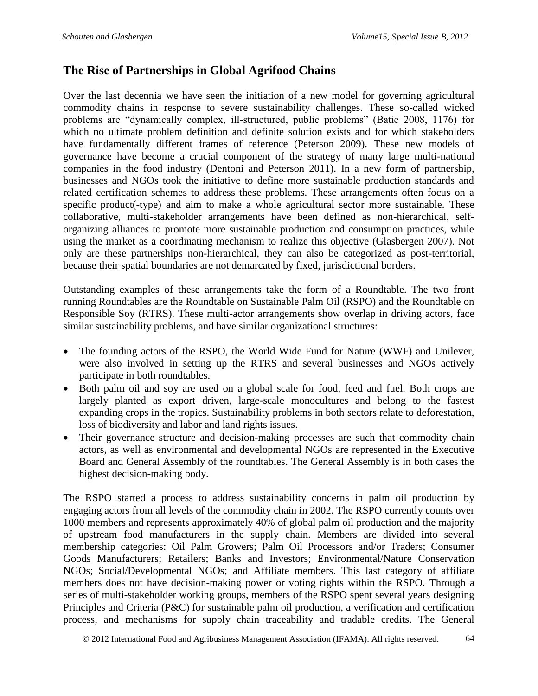## **The Rise of Partnerships in Global Agrifood Chains**

Over the last decennia we have seen the initiation of a new model for governing agricultural commodity chains in response to severe sustainability challenges. These so-called wicked problems are "dynamically complex, ill-structured, public problems" (Batie 2008, 1176) for which no ultimate problem definition and definite solution exists and for which stakeholders have fundamentally different frames of reference (Peterson 2009). These new models of governance have become a crucial component of the strategy of many large multi-national companies in the food industry (Dentoni and Peterson 2011). In a new form of partnership, businesses and NGOs took the initiative to define more sustainable production standards and related certification schemes to address these problems. These arrangements often focus on a specific product(-type) and aim to make a whole agricultural sector more sustainable. These collaborative, multi-stakeholder arrangements have been defined as non-hierarchical, selforganizing alliances to promote more sustainable production and consumption practices, while using the market as a coordinating mechanism to realize this objective (Glasbergen 2007). Not only are these partnerships non-hierarchical, they can also be categorized as post-territorial, because their spatial boundaries are not demarcated by fixed, jurisdictional borders.

Outstanding examples of these arrangements take the form of a Roundtable. The two front running Roundtables are the Roundtable on Sustainable Palm Oil (RSPO) and the Roundtable on Responsible Soy (RTRS). These multi-actor arrangements show overlap in driving actors, face similar sustainability problems, and have similar organizational structures:

- The founding actors of the RSPO, the World Wide Fund for Nature (WWF) and Unilever, were also involved in setting up the RTRS and several businesses and NGOs actively participate in both roundtables.
- Both palm oil and soy are used on a global scale for food, feed and fuel. Both crops are largely planted as export driven, large-scale monocultures and belong to the fastest expanding crops in the tropics. Sustainability problems in both sectors relate to deforestation, loss of biodiversity and labor and land rights issues.
- Their governance structure and decision-making processes are such that commodity chain actors, as well as environmental and developmental NGOs are represented in the Executive Board and General Assembly of the roundtables. The General Assembly is in both cases the highest decision-making body.

The RSPO started a process to address sustainability concerns in palm oil production by engaging actors from all levels of the commodity chain in 2002. The RSPO currently counts over 1000 members and represents approximately 40% of global palm oil production and the majority of upstream food manufacturers in the supply chain. Members are divided into several membership categories: Oil Palm Growers; Palm Oil Processors and/or Traders; Consumer Goods Manufacturers; Retailers; Banks and Investors; Environmental/Nature Conservation NGOs; Social/Developmental NGOs; and Affiliate members. This last category of affiliate members does not have decision-making power or voting rights within the RSPO. Through a series of multi-stakeholder working groups, members of the RSPO spent several years designing Principles and Criteria (P&C) for sustainable palm oil production, a verification and certification process, and mechanisms for supply chain traceability and tradable credits. The General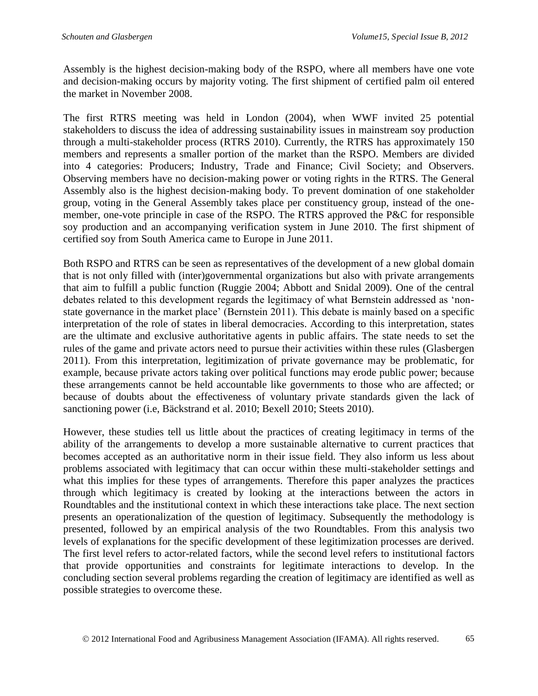Assembly is the highest decision-making body of the RSPO, where all members have one vote and decision-making occurs by majority voting. The first shipment of certified palm oil entered the market in November 2008.

The first RTRS meeting was held in London (2004), when WWF invited 25 potential stakeholders to discuss the idea of addressing sustainability issues in mainstream soy production through a multi-stakeholder process (RTRS 2010). Currently, the RTRS has approximately 150 members and represents a smaller portion of the market than the RSPO. Members are divided into 4 categories: Producers; Industry, Trade and Finance; Civil Society; and Observers. Observing members have no decision-making power or voting rights in the RTRS. The General Assembly also is the highest decision-making body. To prevent domination of one stakeholder group, voting in the General Assembly takes place per constituency group, instead of the onemember, one-vote principle in case of the RSPO. The RTRS approved the P&C for responsible soy production and an accompanying verification system in June 2010. The first shipment of certified soy from South America came to Europe in June 2011.

Both RSPO and RTRS can be seen as representatives of the development of a new global domain that is not only filled with (inter)governmental organizations but also with private arrangements that aim to fulfill a public function (Ruggie 2004; Abbott and Snidal 2009). One of the central debates related to this development regards the legitimacy of what Bernstein addressed as 'nonstate governance in the market place' (Bernstein 2011). This debate is mainly based on a specific interpretation of the role of states in liberal democracies. According to this interpretation, states are the ultimate and exclusive authoritative agents in public affairs. The state needs to set the rules of the game and private actors need to pursue their activities within these rules (Glasbergen 2011). From this interpretation, legitimization of private governance may be problematic, for example, because private actors taking over political functions may erode public power; because these arrangements cannot be held accountable like governments to those who are affected; or because of doubts about the effectiveness of voluntary private standards given the lack of sanctioning power (i.e, Bäckstrand et al. 2010; Bexell 2010; Steets 2010).

However, these studies tell us little about the practices of creating legitimacy in terms of the ability of the arrangements to develop a more sustainable alternative to current practices that becomes accepted as an authoritative norm in their issue field. They also inform us less about problems associated with legitimacy that can occur within these multi-stakeholder settings and what this implies for these types of arrangements. Therefore this paper analyzes the practices through which legitimacy is created by looking at the interactions between the actors in Roundtables and the institutional context in which these interactions take place. The next section presents an operationalization of the question of legitimacy. Subsequently the methodology is presented, followed by an empirical analysis of the two Roundtables. From this analysis two levels of explanations for the specific development of these legitimization processes are derived. The first level refers to actor-related factors, while the second level refers to institutional factors that provide opportunities and constraints for legitimate interactions to develop. In the concluding section several problems regarding the creation of legitimacy are identified as well as possible strategies to overcome these.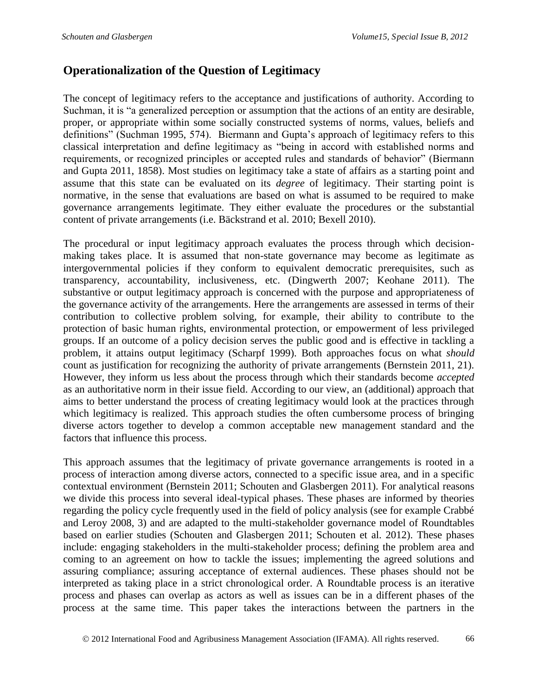## **Operationalization of the Question of Legitimacy**

The concept of legitimacy refers to the acceptance and justifications of authority. According to Suchman, it is "a generalized perception or assumption that the actions of an entity are desirable, proper, or appropriate within some socially constructed systems of norms, values, beliefs and definitions" (Suchman 1995, 574). Biermann and Gupta's approach of legitimacy refers to this classical interpretation and define legitimacy as "being in accord with established norms and requirements, or recognized principles or accepted rules and standards of behavior" (Biermann and Gupta 2011, 1858). Most studies on legitimacy take a state of affairs as a starting point and assume that this state can be evaluated on its *degree* of legitimacy. Their starting point is normative, in the sense that evaluations are based on what is assumed to be required to make governance arrangements legitimate. They either evaluate the procedures or the substantial content of private arrangements (i.e. Bäckstrand et al. 2010; Bexell 2010).

The procedural or input legitimacy approach evaluates the process through which decisionmaking takes place. It is assumed that non-state governance may become as legitimate as intergovernmental policies if they conform to equivalent democratic prerequisites, such as transparency, accountability, inclusiveness, etc. (Dingwerth 2007; Keohane 2011). The substantive or output legitimacy approach is concerned with the purpose and appropriateness of the governance activity of the arrangements. Here the arrangements are assessed in terms of their contribution to collective problem solving, for example, their ability to contribute to the protection of basic human rights, environmental protection, or empowerment of less privileged groups. If an outcome of a policy decision serves the public good and is effective in tackling a problem, it attains output legitimacy (Scharpf 1999). Both approaches focus on what *should* count as justification for recognizing the authority of private arrangements (Bernstein 2011, 21). However, they inform us less about the process through which their standards become *accepted* as an authoritative norm in their issue field. According to our view, an (additional) approach that aims to better understand the process of creating legitimacy would look at the practices through which legitimacy is realized. This approach studies the often cumbersome process of bringing diverse actors together to develop a common acceptable new management standard and the factors that influence this process.

This approach assumes that the legitimacy of private governance arrangements is rooted in a process of interaction among diverse actors, connected to a specific issue area, and in a specific contextual environment (Bernstein 2011; Schouten and Glasbergen 2011). For analytical reasons we divide this process into several ideal-typical phases. These phases are informed by theories regarding the policy cycle frequently used in the field of policy analysis (see for example Crabbé and Leroy 2008, 3) and are adapted to the multi-stakeholder governance model of Roundtables based on earlier studies (Schouten and Glasbergen 2011; Schouten et al. 2012). These phases include: engaging stakeholders in the multi-stakeholder process; defining the problem area and coming to an agreement on how to tackle the issues; implementing the agreed solutions and assuring compliance; assuring acceptance of external audiences. These phases should not be interpreted as taking place in a strict chronological order. A Roundtable process is an iterative process and phases can overlap as actors as well as issues can be in a different phases of the process at the same time. This paper takes the interactions between the partners in the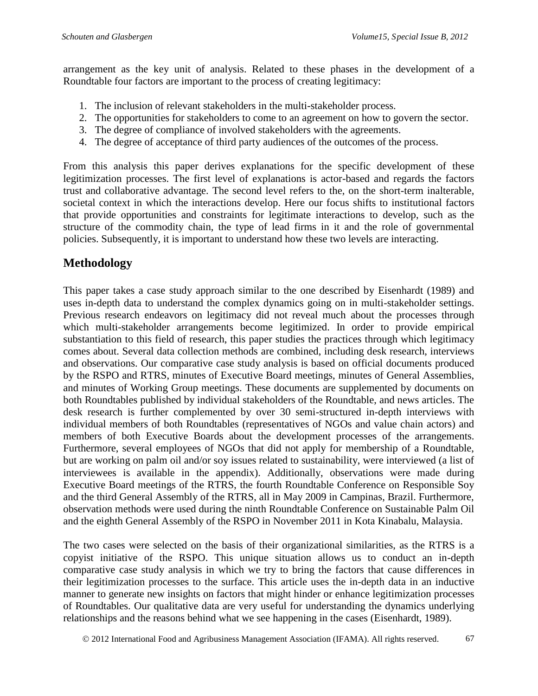arrangement as the key unit of analysis. Related to these phases in the development of a Roundtable four factors are important to the process of creating legitimacy:

- 1. The inclusion of relevant stakeholders in the multi-stakeholder process.
- 2. The opportunities for stakeholders to come to an agreement on how to govern the sector.
- 3. The degree of compliance of involved stakeholders with the agreements.
- 4. The degree of acceptance of third party audiences of the outcomes of the process.

From this analysis this paper derives explanations for the specific development of these legitimization processes. The first level of explanations is actor-based and regards the factors trust and collaborative advantage. The second level refers to the, on the short-term inalterable, societal context in which the interactions develop. Here our focus shifts to institutional factors that provide opportunities and constraints for legitimate interactions to develop, such as the structure of the commodity chain, the type of lead firms in it and the role of governmental policies. Subsequently, it is important to understand how these two levels are interacting.

# **Methodology**

This paper takes a case study approach similar to the one described by Eisenhardt (1989) and uses in-depth data to understand the complex dynamics going on in multi-stakeholder settings. Previous research endeavors on legitimacy did not reveal much about the processes through which multi-stakeholder arrangements become legitimized. In order to provide empirical substantiation to this field of research, this paper studies the practices through which legitimacy comes about. Several data collection methods are combined, including desk research, interviews and observations. Our comparative case study analysis is based on official documents produced by the RSPO and RTRS, minutes of Executive Board meetings, minutes of General Assemblies, and minutes of Working Group meetings. These documents are supplemented by documents on both Roundtables published by individual stakeholders of the Roundtable, and news articles. The desk research is further complemented by over 30 semi-structured in-depth interviews with individual members of both Roundtables (representatives of NGOs and value chain actors) and members of both Executive Boards about the development processes of the arrangements. Furthermore, several employees of NGOs that did not apply for membership of a Roundtable, but are working on palm oil and/or soy issues related to sustainability, were interviewed (a list of interviewees is available in the appendix). Additionally, observations were made during Executive Board meetings of the RTRS, the fourth Roundtable Conference on Responsible Soy and the third General Assembly of the RTRS, all in May 2009 in Campinas, Brazil. Furthermore, observation methods were used during the ninth Roundtable Conference on Sustainable Palm Oil and the eighth General Assembly of the RSPO in November 2011 in Kota Kinabalu, Malaysia.

The two cases were selected on the basis of their organizational similarities, as the RTRS is a copyist initiative of the RSPO. This unique situation allows us to conduct an in-depth comparative case study analysis in which we try to bring the factors that cause differences in their legitimization processes to the surface. This article uses the in-depth data in an inductive manner to generate new insights on factors that might hinder or enhance legitimization processes of Roundtables. Our qualitative data are very useful for understanding the dynamics underlying relationships and the reasons behind what we see happening in the cases (Eisenhardt, 1989).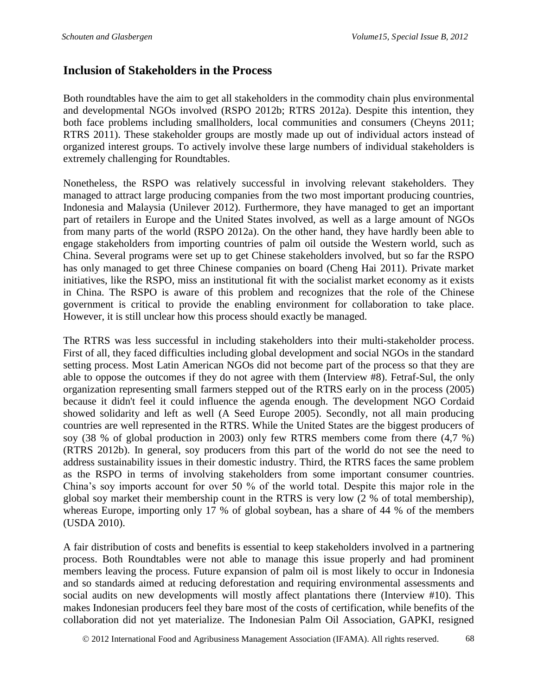#### **Inclusion of Stakeholders in the Process**

Both roundtables have the aim to get all stakeholders in the commodity chain plus environmental and developmental NGOs involved (RSPO 2012b; RTRS 2012a). Despite this intention, they both face problems including smallholders, local communities and consumers (Cheyns 2011; RTRS 2011). These stakeholder groups are mostly made up out of individual actors instead of organized interest groups. To actively involve these large numbers of individual stakeholders is extremely challenging for Roundtables.

Nonetheless, the RSPO was relatively successful in involving relevant stakeholders. They managed to attract large producing companies from the two most important producing countries, Indonesia and Malaysia (Unilever 2012). Furthermore, they have managed to get an important part of retailers in Europe and the United States involved, as well as a large amount of NGOs from many parts of the world (RSPO 2012a). On the other hand, they have hardly been able to engage stakeholders from importing countries of palm oil outside the Western world, such as China. Several programs were set up to get Chinese stakeholders involved, but so far the RSPO has only managed to get three Chinese companies on board (Cheng Hai 2011). Private market initiatives, like the RSPO, miss an institutional fit with the socialist market economy as it exists in China. The RSPO is aware of this problem and recognizes that the role of the Chinese government is critical to provide the enabling environment for collaboration to take place. However, it is still unclear how this process should exactly be managed.

The RTRS was less successful in including stakeholders into their multi-stakeholder process. First of all, they faced difficulties including global development and social NGOs in the standard setting process. Most Latin American NGOs did not become part of the process so that they are able to oppose the outcomes if they do not agree with them (Interview #8). Fetraf-Sul, the only organization representing small farmers stepped out of the RTRS early on in the process (2005) because it didn't feel it could influence the agenda enough. The development NGO Cordaid showed solidarity and left as well (A Seed Europe 2005). Secondly, not all main producing countries are well represented in the RTRS. While the United States are the biggest producers of soy (38 % of global production in 2003) only few RTRS members come from there (4,7 %) (RTRS 2012b). In general, soy producers from this part of the world do not see the need to address sustainability issues in their domestic industry. Third, the RTRS faces the same problem as the RSPO in terms of involving stakeholders from some important consumer countries. China's soy imports account for over 50 % of the world total. Despite this major role in the global soy market their membership count in the RTRS is very low (2 % of total membership), whereas Europe, importing only 17 % of global soybean, has a share of 44 % of the members (USDA 2010).

A fair distribution of costs and benefits is essential to keep stakeholders involved in a partnering process. Both Roundtables were not able to manage this issue properly and had prominent members leaving the process. Future expansion of palm oil is most likely to occur in Indonesia and so standards aimed at reducing deforestation and requiring environmental assessments and social audits on new developments will mostly affect plantations there (Interview #10). This makes Indonesian producers feel they bare most of the costs of certification, while benefits of the collaboration did not yet materialize. The Indonesian Palm Oil Association, GAPKI, resigned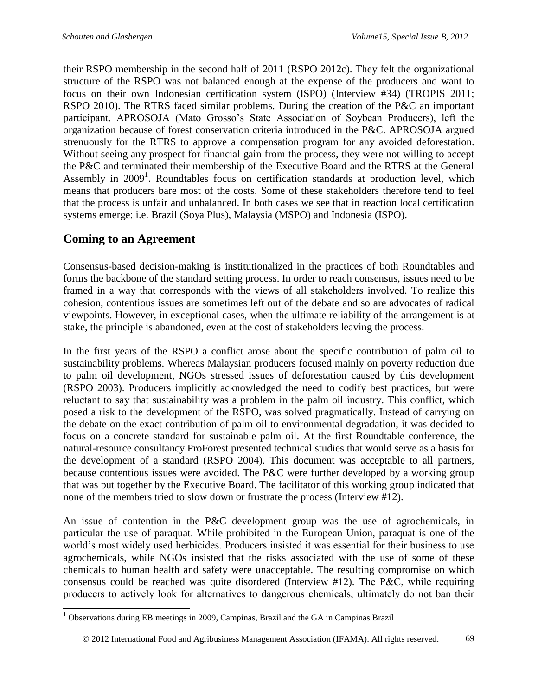their RSPO membership in the second half of 2011 (RSPO 2012c). They felt the organizational structure of the RSPO was not balanced enough at the expense of the producers and want to focus on their own Indonesian certification system (ISPO) (Interview #34) (TROPIS 2011; RSPO 2010). The RTRS faced similar problems. During the creation of the P&C an important participant, APROSOJA (Mato Grosso's State Association of Soybean Producers), left the organization because of forest conservation criteria introduced in the P&C. APROSOJA argued strenuously for the RTRS to approve a compensation program for any avoided deforestation. Without seeing any prospect for financial gain from the process, they were not willing to accept the P&C and terminated their membership of the Executive Board and the RTRS at the General Assembly in  $2009<sup>1</sup>$ . Roundtables focus on certification standards at production level, which means that producers bare most of the costs. Some of these stakeholders therefore tend to feel that the process is unfair and unbalanced. In both cases we see that in reaction local certification systems emerge: i.e. Brazil (Soya Plus), Malaysia (MSPO) and Indonesia (ISPO).

# **Coming to an Agreement**

Consensus-based decision-making is institutionalized in the practices of both Roundtables and forms the backbone of the standard setting process. In order to reach consensus, issues need to be framed in a way that corresponds with the views of all stakeholders involved. To realize this cohesion, contentious issues are sometimes left out of the debate and so are advocates of radical viewpoints. However, in exceptional cases, when the ultimate reliability of the arrangement is at stake, the principle is abandoned, even at the cost of stakeholders leaving the process.

In the first years of the RSPO a conflict arose about the specific contribution of palm oil to sustainability problems. Whereas Malaysian producers focused mainly on poverty reduction due to palm oil development, NGOs stressed issues of deforestation caused by this development (RSPO 2003). Producers implicitly acknowledged the need to codify best practices, but were reluctant to say that sustainability was a problem in the palm oil industry. This conflict, which posed a risk to the development of the RSPO, was solved pragmatically. Instead of carrying on the debate on the exact contribution of palm oil to environmental degradation, it was decided to focus on a concrete standard for sustainable palm oil. At the first Roundtable conference, the natural-resource consultancy ProForest presented technical studies that would serve as a basis for the development of a standard (RSPO 2004). This document was acceptable to all partners, because contentious issues were avoided. The P&C were further developed by a working group that was put together by the Executive Board. The facilitator of this working group indicated that none of the members tried to slow down or frustrate the process (Interview #12).

An issue of contention in the P&C development group was the use of agrochemicals, in particular the use of paraquat. While prohibited in the European Union, paraquat is one of the world's most widely used herbicides. Producers insisted it was essential for their business to use agrochemicals, while NGOs insisted that the risks associated with the use of some of these chemicals to human health and safety were unacceptable. The resulting compromise on which consensus could be reached was quite disordered (Interview #12). The P&C, while requiring producers to actively look for alternatives to dangerous chemicals, ultimately do not ban their

 $\overline{a}$  $1$  Observations during EB meetings in 2009, Campinas, Brazil and the GA in Campinas Brazil

2012 International Food and Agribusiness Management Association (IFAMA). All rights reserved. 69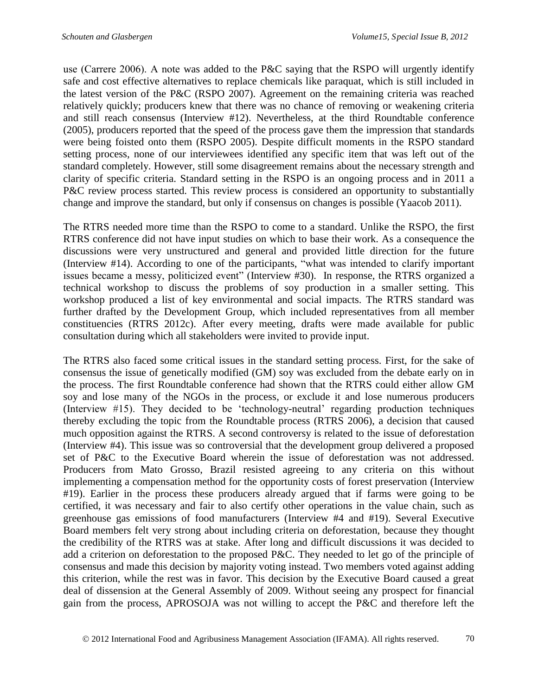use (Carrere 2006). A note was added to the P&C saying that the RSPO will urgently identify safe and cost effective alternatives to replace chemicals like paraquat, which is still included in the latest version of the P&C (RSPO 2007). Agreement on the remaining criteria was reached relatively quickly; producers knew that there was no chance of removing or weakening criteria and still reach consensus (Interview #12). Nevertheless, at the third Roundtable conference (2005), producers reported that the speed of the process gave them the impression that standards were being foisted onto them (RSPO 2005). Despite difficult moments in the RSPO standard setting process, none of our interviewees identified any specific item that was left out of the standard completely. However, still some disagreement remains about the necessary strength and clarity of specific criteria. Standard setting in the RSPO is an ongoing process and in 2011 a P&C review process started. This review process is considered an opportunity to substantially change and improve the standard, but only if consensus on changes is possible (Yaacob 2011).

The RTRS needed more time than the RSPO to come to a standard. Unlike the RSPO, the first RTRS conference did not have input studies on which to base their work. As a consequence the discussions were very unstructured and general and provided little direction for the future (Interview #14). According to one of the participants, "what was intended to clarify important issues became a messy, politicized event" (Interview #30). In response, the RTRS organized a technical workshop to discuss the problems of soy production in a smaller setting. This workshop produced a list of key environmental and social impacts. The RTRS standard was further drafted by the Development Group, which included representatives from all member constituencies (RTRS 2012c). After every meeting, drafts were made available for public consultation during which all stakeholders were invited to provide input.

The RTRS also faced some critical issues in the standard setting process. First, for the sake of consensus the issue of genetically modified (GM) soy was excluded from the debate early on in the process. The first Roundtable conference had shown that the RTRS could either allow GM soy and lose many of the NGOs in the process, or exclude it and lose numerous producers (Interview #15). They decided to be 'technology-neutral' regarding production techniques thereby excluding the topic from the Roundtable process (RTRS 2006), a decision that caused much opposition against the RTRS. A second controversy is related to the issue of deforestation (Interview #4). This issue was so controversial that the development group delivered a proposed set of P&C to the Executive Board wherein the issue of deforestation was not addressed. Producers from Mato Grosso, Brazil resisted agreeing to any criteria on this without implementing a compensation method for the opportunity costs of forest preservation (Interview #19). Earlier in the process these producers already argued that if farms were going to be certified, it was necessary and fair to also certify other operations in the value chain, such as greenhouse gas emissions of food manufacturers (Interview #4 and #19). Several Executive Board members felt very strong about including criteria on deforestation, because they thought the credibility of the RTRS was at stake. After long and difficult discussions it was decided to add a criterion on deforestation to the proposed P&C. They needed to let go of the principle of consensus and made this decision by majority voting instead. Two members voted against adding this criterion, while the rest was in favor. This decision by the Executive Board caused a great deal of dissension at the General Assembly of 2009. Without seeing any prospect for financial gain from the process, APROSOJA was not willing to accept the P&C and therefore left the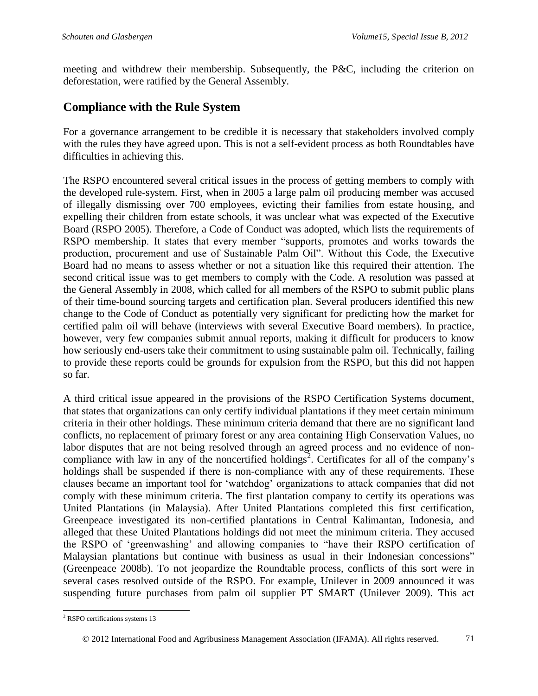meeting and withdrew their membership. Subsequently, the P&C, including the criterion on deforestation, were ratified by the General Assembly.

#### **Compliance with the Rule System**

For a governance arrangement to be credible it is necessary that stakeholders involved comply with the rules they have agreed upon. This is not a self-evident process as both Roundtables have difficulties in achieving this.

The RSPO encountered several critical issues in the process of getting members to comply with the developed rule-system. First, when in 2005 a large palm oil producing member was accused of illegally dismissing over 700 employees, evicting their families from estate housing, and expelling their children from estate schools, it was unclear what was expected of the Executive Board (RSPO 2005). Therefore, a Code of Conduct was adopted, which lists the requirements of RSPO membership. It states that every member "supports, promotes and works towards the production, procurement and use of Sustainable Palm Oil". Without this Code, the Executive Board had no means to assess whether or not a situation like this required their attention. The second critical issue was to get members to comply with the Code. A resolution was passed at the General Assembly in 2008, which called for all members of the RSPO to submit public plans of their time-bound sourcing targets and certification plan. Several producers identified this new change to the Code of Conduct as potentially very significant for predicting how the market for certified palm oil will behave (interviews with several Executive Board members). In practice, however, very few companies submit annual reports, making it difficult for producers to know how seriously end-users take their commitment to using sustainable palm oil. Technically, failing to provide these reports could be grounds for expulsion from the RSPO, but this did not happen so far.

A third critical issue appeared in the provisions of the RSPO Certification Systems document, that states that organizations can only certify individual plantations if they meet certain minimum criteria in their other holdings. These minimum criteria demand that there are no significant land conflicts, no replacement of primary forest or any area containing High Conservation Values, no labor disputes that are not being resolved through an agreed process and no evidence of noncompliance with law in any of the noncertified holdings<sup>2</sup>. Certificates for all of the company's holdings shall be suspended if there is non-compliance with any of these requirements. These clauses became an important tool for 'watchdog' organizations to attack companies that did not comply with these minimum criteria. The first plantation company to certify its operations was United Plantations (in Malaysia). After United Plantations completed this first certification, Greenpeace investigated its non-certified plantations in Central Kalimantan, Indonesia, and alleged that these United Plantations holdings did not meet the minimum criteria. They accused the RSPO of 'greenwashing' and allowing companies to "have their RSPO certification of Malaysian plantations but continue with business as usual in their Indonesian concessions" (Greenpeace 2008b). To not jeopardize the Roundtable process, conflicts of this sort were in several cases resolved outside of the RSPO. For example, Unilever in 2009 announced it was suspending future purchases from palm oil supplier PT SMART (Unilever 2009). This act

 $\overline{a}$ <sup>2</sup> RSPO certifications systems 13

2012 International Food and Agribusiness Management Association (IFAMA). All rights reserved. 71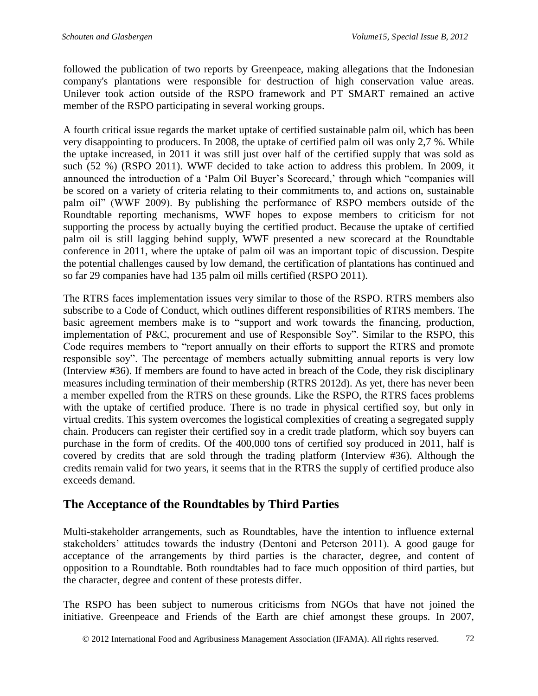followed the publication of two reports by Greenpeace, making allegations that the Indonesian company's plantations were responsible for destruction of high conservation value areas. Unilever took action outside of the RSPO framework and PT SMART remained an active member of the RSPO participating in several working groups.

A fourth critical issue regards the market uptake of certified sustainable palm oil, which has been very disappointing to producers. In 2008, the uptake of certified palm oil was only 2,7 %. While the uptake increased, in 2011 it was still just over half of the certified supply that was sold as such (52 %) (RSPO 2011). WWF decided to take action to address this problem. In 2009, it announced the introduction of a 'Palm Oil Buyer's Scorecard,' through which "companies will be scored on a variety of criteria relating to their commitments to, and actions on, sustainable palm oil" (WWF 2009). By publishing the performance of RSPO members outside of the Roundtable reporting mechanisms, WWF hopes to expose members to criticism for not supporting the process by actually buying the certified product. Because the uptake of certified palm oil is still lagging behind supply, WWF presented a new scorecard at the Roundtable conference in 2011, where the uptake of palm oil was an important topic of discussion. Despite the potential challenges caused by low demand, the certification of plantations has continued and so far 29 companies have had 135 palm oil mills certified (RSPO 2011).

The RTRS faces implementation issues very similar to those of the RSPO. RTRS members also subscribe to a Code of Conduct, which outlines different responsibilities of RTRS members. The basic agreement members make is to "support and work towards the financing, production, implementation of P&C, procurement and use of Responsible Soy". Similar to the RSPO, this Code requires members to "report annually on their efforts to support the RTRS and promote responsible soy". The percentage of members actually submitting annual reports is very low (Interview #36). If members are found to have acted in breach of the Code, they risk disciplinary measures including termination of their membership (RTRS 2012d). As yet, there has never been a member expelled from the RTRS on these grounds. Like the RSPO, the RTRS faces problems with the uptake of certified produce. There is no trade in physical certified soy, but only in virtual credits. This system overcomes the logistical complexities of creating a segregated supply chain. Producers can register their certified soy in a credit trade platform, which soy buyers can purchase in the form of credits. Of the 400,000 tons of certified soy produced in 2011, half is covered by credits that are sold through the trading platform (Interview #36). Although the credits remain valid for two years, it seems that in the RTRS the supply of certified produce also exceeds demand.

## **The Acceptance of the Roundtables by Third Parties**

Multi-stakeholder arrangements, such as Roundtables, have the intention to influence external stakeholders' attitudes towards the industry (Dentoni and Peterson 2011). A good gauge for acceptance of the arrangements by third parties is the character, degree, and content of opposition to a Roundtable. Both roundtables had to face much opposition of third parties, but the character, degree and content of these protests differ.

The RSPO has been subject to numerous criticisms from NGOs that have not joined the initiative. Greenpeace and Friends of the Earth are chief amongst these groups. In 2007,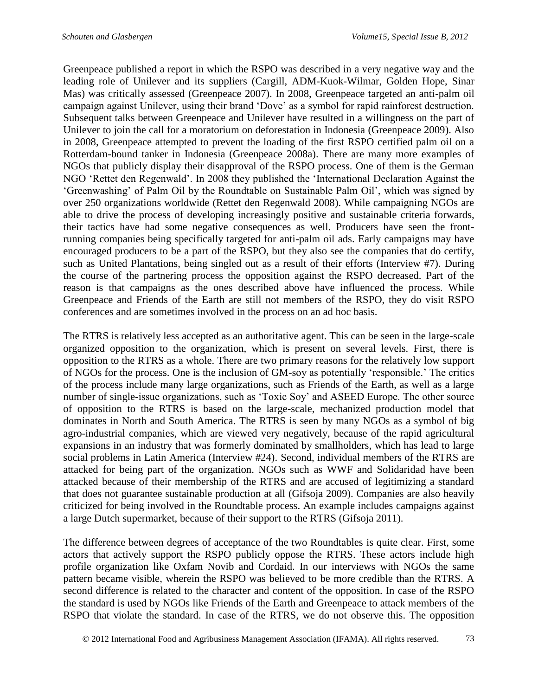Greenpeace published a report in which the RSPO was described in a very negative way and the leading role of Unilever and its suppliers (Cargill, ADM-Kuok-Wilmar, Golden Hope, Sinar Mas) was critically assessed (Greenpeace 2007). In 2008, Greenpeace targeted an anti-palm oil campaign against Unilever, using their brand 'Dove' as a symbol for rapid rainforest destruction. Subsequent talks between Greenpeace and Unilever have resulted in a willingness on the part of Unilever to join the call for a moratorium on deforestation in Indonesia (Greenpeace 2009). Also in 2008, Greenpeace attempted to prevent the loading of the first RSPO certified palm oil on a Rotterdam-bound tanker in Indonesia (Greenpeace 2008a). There are many more examples of NGOs that publicly display their disapproval of the RSPO process. One of them is the German NGO 'Rettet den Regenwald'. In 2008 they published the 'International Declaration Against the 'Greenwashing' of Palm Oil by the Roundtable on Sustainable Palm Oil', which was signed by over 250 organizations worldwide (Rettet den Regenwald 2008). While campaigning NGOs are able to drive the process of developing increasingly positive and sustainable criteria forwards, their tactics have had some negative consequences as well. Producers have seen the frontrunning companies being specifically targeted for anti-palm oil ads. Early campaigns may have encouraged producers to be a part of the RSPO, but they also see the companies that do certify, such as United Plantations, being singled out as a result of their efforts (Interview #7). During the course of the partnering process the opposition against the RSPO decreased. Part of the reason is that campaigns as the ones described above have influenced the process. While Greenpeace and Friends of the Earth are still not members of the RSPO, they do visit RSPO conferences and are sometimes involved in the process on an ad hoc basis.

The RTRS is relatively less accepted as an authoritative agent. This can be seen in the large-scale organized opposition to the organization, which is present on several levels. First, there is opposition to the RTRS as a whole. There are two primary reasons for the relatively low support of NGOs for the process. One is the inclusion of GM-soy as potentially 'responsible.' The critics of the process include many large organizations, such as Friends of the Earth, as well as a large number of single-issue organizations, such as 'Toxic Soy' and ASEED Europe. The other source of opposition to the RTRS is based on the large-scale, mechanized production model that dominates in North and South America. The RTRS is seen by many NGOs as a symbol of big agro-industrial companies, which are viewed very negatively, because of the rapid agricultural expansions in an industry that was formerly dominated by smallholders, which has lead to large social problems in Latin America (Interview #24). Second, individual members of the RTRS are attacked for being part of the organization. NGOs such as WWF and Solidaridad have been attacked because of their membership of the RTRS and are accused of legitimizing a standard that does not guarantee sustainable production at all (Gifsoja 2009). Companies are also heavily criticized for being involved in the Roundtable process. An example includes campaigns against a large Dutch supermarket, because of their support to the RTRS (Gifsoja 2011).

The difference between degrees of acceptance of the two Roundtables is quite clear. First, some actors that actively support the RSPO publicly oppose the RTRS. These actors include high profile organization like Oxfam Novib and Cordaid. In our interviews with NGOs the same pattern became visible, wherein the RSPO was believed to be more credible than the RTRS. A second difference is related to the character and content of the opposition. In case of the RSPO the standard is used by NGOs like Friends of the Earth and Greenpeace to attack members of the RSPO that violate the standard. In case of the RTRS, we do not observe this. The opposition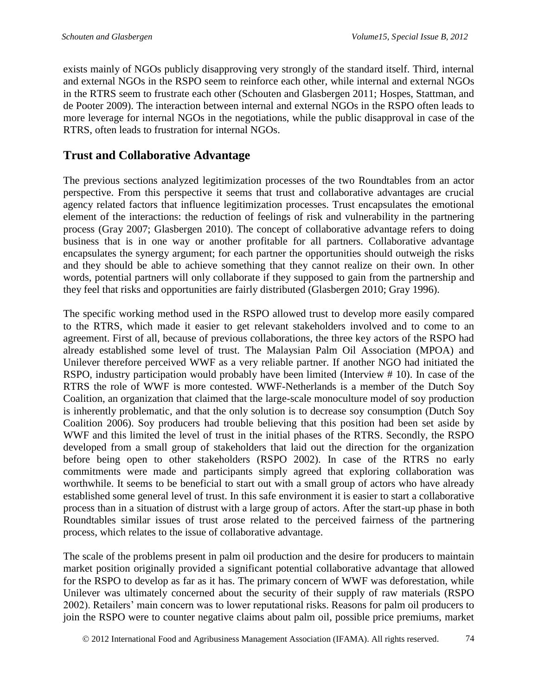exists mainly of NGOs publicly disapproving very strongly of the standard itself. Third, internal and external NGOs in the RSPO seem to reinforce each other, while internal and external NGOs in the RTRS seem to frustrate each other (Schouten and Glasbergen 2011; Hospes, Stattman, and de Pooter 2009). The interaction between internal and external NGOs in the RSPO often leads to more leverage for internal NGOs in the negotiations, while the public disapproval in case of the RTRS, often leads to frustration for internal NGOs.

## **Trust and Collaborative Advantage**

The previous sections analyzed legitimization processes of the two Roundtables from an actor perspective. From this perspective it seems that trust and collaborative advantages are crucial agency related factors that influence legitimization processes. Trust encapsulates the emotional element of the interactions: the reduction of feelings of risk and vulnerability in the partnering process (Gray 2007; Glasbergen 2010). The concept of collaborative advantage refers to doing business that is in one way or another profitable for all partners. Collaborative advantage encapsulates the synergy argument; for each partner the opportunities should outweigh the risks and they should be able to achieve something that they cannot realize on their own. In other words, potential partners will only collaborate if they supposed to gain from the partnership and they feel that risks and opportunities are fairly distributed (Glasbergen 2010; Gray 1996).

The specific working method used in the RSPO allowed trust to develop more easily compared to the RTRS, which made it easier to get relevant stakeholders involved and to come to an agreement. First of all, because of previous collaborations, the three key actors of the RSPO had already established some level of trust. The Malaysian Palm Oil Association (MPOA) and Unilever therefore perceived WWF as a very reliable partner. If another NGO had initiated the RSPO, industry participation would probably have been limited (Interview # 10). In case of the RTRS the role of WWF is more contested. WWF-Netherlands is a member of the Dutch Soy Coalition, an organization that claimed that the large-scale monoculture model of soy production is inherently problematic, and that the only solution is to decrease soy consumption (Dutch Soy Coalition 2006). Soy producers had trouble believing that this position had been set aside by WWF and this limited the level of trust in the initial phases of the RTRS. Secondly, the RSPO developed from a small group of stakeholders that laid out the direction for the organization before being open to other stakeholders (RSPO 2002). In case of the RTRS no early commitments were made and participants simply agreed that exploring collaboration was worthwhile. It seems to be beneficial to start out with a small group of actors who have already established some general level of trust. In this safe environment it is easier to start a collaborative process than in a situation of distrust with a large group of actors. After the start-up phase in both Roundtables similar issues of trust arose related to the perceived fairness of the partnering process, which relates to the issue of collaborative advantage.

The scale of the problems present in palm oil production and the desire for producers to maintain market position originally provided a significant potential collaborative advantage that allowed for the RSPO to develop as far as it has. The primary concern of WWF was deforestation, while Unilever was ultimately concerned about the security of their supply of raw materials (RSPO 2002). Retailers' main concern was to lower reputational risks. Reasons for palm oil producers to join the RSPO were to counter negative claims about palm oil, possible price premiums, market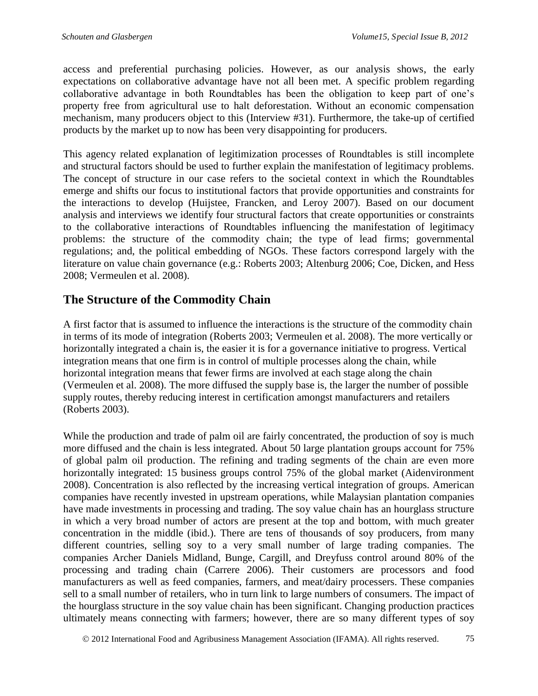access and preferential purchasing policies. However, as our analysis shows, the early expectations on collaborative advantage have not all been met. A specific problem regarding collaborative advantage in both Roundtables has been the obligation to keep part of one's property free from agricultural use to halt deforestation. Without an economic compensation mechanism, many producers object to this (Interview #31). Furthermore, the take-up of certified products by the market up to now has been very disappointing for producers.

This agency related explanation of legitimization processes of Roundtables is still incomplete and structural factors should be used to further explain the manifestation of legitimacy problems. The concept of structure in our case refers to the societal context in which the Roundtables emerge and shifts our focus to institutional factors that provide opportunities and constraints for the interactions to develop (Huijstee, Francken, and Leroy 2007). Based on our document analysis and interviews we identify four structural factors that create opportunities or constraints to the collaborative interactions of Roundtables influencing the manifestation of legitimacy problems: the structure of the commodity chain; the type of lead firms; governmental regulations; and, the political embedding of NGOs. These factors correspond largely with the literature on value chain governance (e.g.: Roberts 2003; Altenburg 2006; Coe, Dicken, and Hess 2008; Vermeulen et al. 2008).

## **The Structure of the Commodity Chain**

A first factor that is assumed to influence the interactions is the structure of the commodity chain in terms of its mode of integration (Roberts 2003; Vermeulen et al. 2008). The more vertically or horizontally integrated a chain is, the easier it is for a governance initiative to progress. Vertical integration means that one firm is in control of multiple processes along the chain, while horizontal integration means that fewer firms are involved at each stage along the chain (Vermeulen et al. 2008). The more diffused the supply base is, the larger the number of possible supply routes, thereby reducing interest in certification amongst manufacturers and retailers (Roberts 2003).

While the production and trade of palm oil are fairly concentrated, the production of soy is much more diffused and the chain is less integrated. About 50 large plantation groups account for 75% of global palm oil production. The refining and trading segments of the chain are even more horizontally integrated: 15 business groups control 75% of the global market (Aidenvironment 2008). Concentration is also reflected by the increasing vertical integration of groups. American companies have recently invested in upstream operations, while Malaysian plantation companies have made investments in processing and trading. The soy value chain has an hourglass structure in which a very broad number of actors are present at the top and bottom, with much greater concentration in the middle (ibid.). There are tens of thousands of soy producers, from many different countries, selling soy to a very small number of large trading companies. The companies Archer Daniels Midland, Bunge, Cargill, and Dreyfuss control around 80% of the processing and trading chain (Carrere 2006). Their customers are processors and food manufacturers as well as feed companies, farmers, and meat/dairy processers. These companies sell to a small number of retailers, who in turn link to large numbers of consumers. The impact of the hourglass structure in the soy value chain has been significant. Changing production practices ultimately means connecting with farmers; however, there are so many different types of soy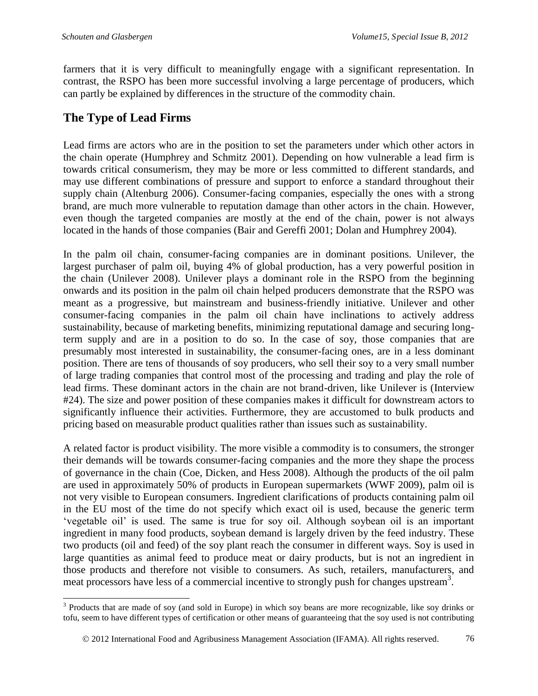farmers that it is very difficult to meaningfully engage with a significant representation. In contrast, the RSPO has been more successful involving a large percentage of producers, which can partly be explained by differences in the structure of the commodity chain.

# **The Type of Lead Firms**

Lead firms are actors who are in the position to set the parameters under which other actors in the chain operate (Humphrey and Schmitz 2001). Depending on how vulnerable a lead firm is towards critical consumerism, they may be more or less committed to different standards, and may use different combinations of pressure and support to enforce a standard throughout their supply chain (Altenburg 2006). Consumer-facing companies, especially the ones with a strong brand, are much more vulnerable to reputation damage than other actors in the chain. However, even though the targeted companies are mostly at the end of the chain, power is not always located in the hands of those companies (Bair and Gereffi 2001; Dolan and Humphrey 2004).

In the palm oil chain, consumer-facing companies are in dominant positions. Unilever, the largest purchaser of palm oil, buying 4% of global production, has a very powerful position in the chain (Unilever 2008). Unilever plays a dominant role in the RSPO from the beginning onwards and its position in the palm oil chain helped producers demonstrate that the RSPO was meant as a progressive, but mainstream and business-friendly initiative. Unilever and other consumer-facing companies in the palm oil chain have inclinations to actively address sustainability, because of marketing benefits, minimizing reputational damage and securing longterm supply and are in a position to do so. In the case of soy, those companies that are presumably most interested in sustainability, the consumer-facing ones, are in a less dominant position. There are tens of thousands of soy producers, who sell their soy to a very small number of large trading companies that control most of the processing and trading and play the role of lead firms. These dominant actors in the chain are not brand-driven, like Unilever is (Interview #24). The size and power position of these companies makes it difficult for downstream actors to significantly influence their activities. Furthermore, they are accustomed to bulk products and pricing based on measurable product qualities rather than issues such as sustainability.

A related factor is product visibility. The more visible a commodity is to consumers, the stronger their demands will be towards consumer-facing companies and the more they shape the process of governance in the chain (Coe, Dicken, and Hess 2008). Although the products of the oil palm are used in approximately 50% of products in European supermarkets (WWF 2009), palm oil is not very visible to European consumers. Ingredient clarifications of products containing palm oil in the EU most of the time do not specify which exact oil is used, because the generic term 'vegetable oil' is used. The same is true for soy oil. Although soybean oil is an important ingredient in many food products, soybean demand is largely driven by the feed industry. These two products (oil and feed) of the soy plant reach the consumer in different ways. Soy is used in large quantities as animal feed to produce meat or dairy products, but is not an ingredient in those products and therefore not visible to consumers. As such, retailers, manufacturers, and meat processors have less of a commercial incentive to strongly push for changes upstream<sup>3</sup>.

l <sup>3</sup> Products that are made of soy (and sold in Europe) in which soy beans are more recognizable, like soy drinks or tofu, seem to have different types of certification or other means of guaranteeing that the soy used is not contributing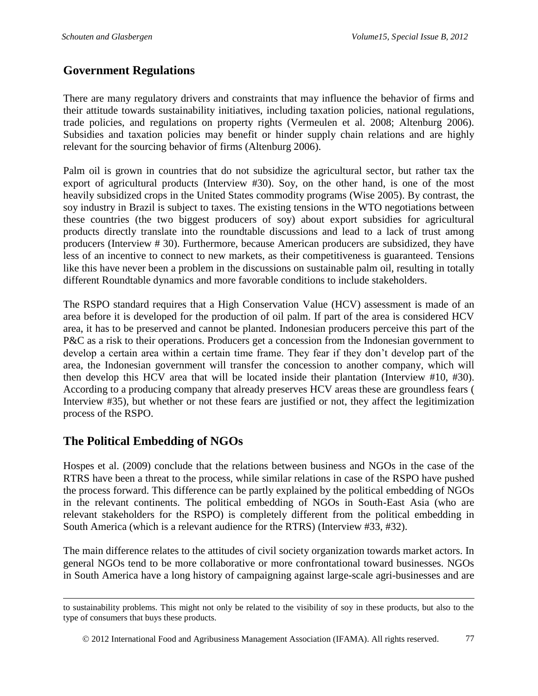#### **Government Regulations**

There are many regulatory drivers and constraints that may influence the behavior of firms and their attitude towards sustainability initiatives, including taxation policies, national regulations, trade policies, and regulations on property rights (Vermeulen et al. 2008; Altenburg 2006). Subsidies and taxation policies may benefit or hinder supply chain relations and are highly relevant for the sourcing behavior of firms (Altenburg 2006).

Palm oil is grown in countries that do not subsidize the agricultural sector, but rather tax the export of agricultural products (Interview #30). Soy, on the other hand, is one of the most heavily subsidized crops in the United States commodity programs (Wise 2005). By contrast, the soy industry in Brazil is subject to taxes. The existing tensions in the WTO negotiations between these countries (the two biggest producers of soy) about export subsidies for agricultural products directly translate into the roundtable discussions and lead to a lack of trust among producers (Interview # 30). Furthermore, because American producers are subsidized, they have less of an incentive to connect to new markets, as their competitiveness is guaranteed. Tensions like this have never been a problem in the discussions on sustainable palm oil, resulting in totally different Roundtable dynamics and more favorable conditions to include stakeholders.

The RSPO standard requires that a High Conservation Value (HCV) assessment is made of an area before it is developed for the production of oil palm. If part of the area is considered HCV area, it has to be preserved and cannot be planted. Indonesian producers perceive this part of the P&C as a risk to their operations. Producers get a concession from the Indonesian government to develop a certain area within a certain time frame. They fear if they don't develop part of the area, the Indonesian government will transfer the concession to another company, which will then develop this HCV area that will be located inside their plantation (Interview #10, #30). According to a producing company that already preserves HCV areas these are groundless fears ( Interview #35), but whether or not these fears are justified or not, they affect the legitimization process of the RSPO.

#### **The Political Embedding of NGOs**

l

Hospes et al. (2009) conclude that the relations between business and NGOs in the case of the RTRS have been a threat to the process, while similar relations in case of the RSPO have pushed the process forward. This difference can be partly explained by the political embedding of NGOs in the relevant continents. The political embedding of NGOs in South-East Asia (who are relevant stakeholders for the RSPO) is completely different from the political embedding in South America (which is a relevant audience for the RTRS) (Interview #33, #32).

The main difference relates to the attitudes of civil society organization towards market actors. In general NGOs tend to be more collaborative or more confrontational toward businesses. NGOs in South America have a long history of campaigning against large-scale agri-businesses and are

to sustainability problems. This might not only be related to the visibility of soy in these products, but also to the type of consumers that buys these products.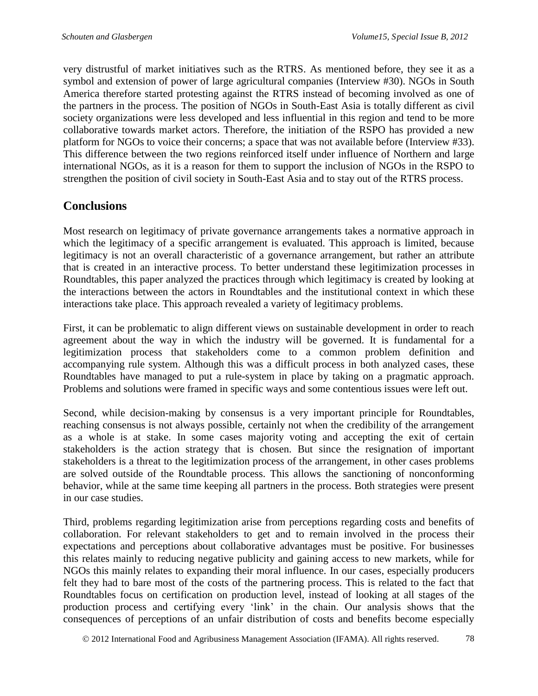very distrustful of market initiatives such as the RTRS. As mentioned before, they see it as a symbol and extension of power of large agricultural companies (Interview #30). NGOs in South America therefore started protesting against the RTRS instead of becoming involved as one of the partners in the process. The position of NGOs in South-East Asia is totally different as civil society organizations were less developed and less influential in this region and tend to be more collaborative towards market actors. Therefore, the initiation of the RSPO has provided a new platform for NGOs to voice their concerns; a space that was not available before (Interview #33). This difference between the two regions reinforced itself under influence of Northern and large international NGOs, as it is a reason for them to support the inclusion of NGOs in the RSPO to strengthen the position of civil society in South-East Asia and to stay out of the RTRS process.

## **Conclusions**

Most research on legitimacy of private governance arrangements takes a normative approach in which the legitimacy of a specific arrangement is evaluated. This approach is limited, because legitimacy is not an overall characteristic of a governance arrangement, but rather an attribute that is created in an interactive process. To better understand these legitimization processes in Roundtables, this paper analyzed the practices through which legitimacy is created by looking at the interactions between the actors in Roundtables and the institutional context in which these interactions take place. This approach revealed a variety of legitimacy problems.

First, it can be problematic to align different views on sustainable development in order to reach agreement about the way in which the industry will be governed. It is fundamental for a legitimization process that stakeholders come to a common problem definition and accompanying rule system. Although this was a difficult process in both analyzed cases, these Roundtables have managed to put a rule-system in place by taking on a pragmatic approach. Problems and solutions were framed in specific ways and some contentious issues were left out.

Second, while decision-making by consensus is a very important principle for Roundtables, reaching consensus is not always possible, certainly not when the credibility of the arrangement as a whole is at stake. In some cases majority voting and accepting the exit of certain stakeholders is the action strategy that is chosen. But since the resignation of important stakeholders is a threat to the legitimization process of the arrangement, in other cases problems are solved outside of the Roundtable process. This allows the sanctioning of nonconforming behavior, while at the same time keeping all partners in the process. Both strategies were present in our case studies.

Third, problems regarding legitimization arise from perceptions regarding costs and benefits of collaboration. For relevant stakeholders to get and to remain involved in the process their expectations and perceptions about collaborative advantages must be positive. For businesses this relates mainly to reducing negative publicity and gaining access to new markets, while for NGOs this mainly relates to expanding their moral influence. In our cases, especially producers felt they had to bare most of the costs of the partnering process. This is related to the fact that Roundtables focus on certification on production level, instead of looking at all stages of the production process and certifying every 'link' in the chain. Our analysis shows that the consequences of perceptions of an unfair distribution of costs and benefits become especially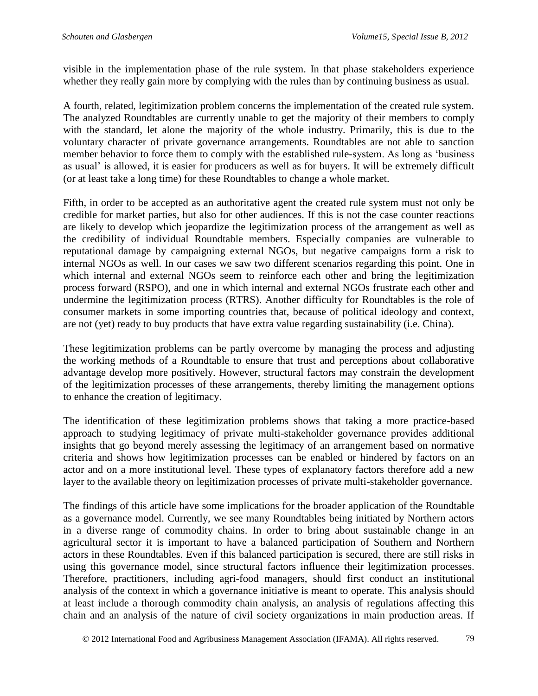visible in the implementation phase of the rule system. In that phase stakeholders experience whether they really gain more by complying with the rules than by continuing business as usual.

A fourth, related, legitimization problem concerns the implementation of the created rule system. The analyzed Roundtables are currently unable to get the majority of their members to comply with the standard, let alone the majority of the whole industry. Primarily, this is due to the voluntary character of private governance arrangements. Roundtables are not able to sanction member behavior to force them to comply with the established rule-system. As long as 'business as usual' is allowed, it is easier for producers as well as for buyers. It will be extremely difficult (or at least take a long time) for these Roundtables to change a whole market.

Fifth, in order to be accepted as an authoritative agent the created rule system must not only be credible for market parties, but also for other audiences. If this is not the case counter reactions are likely to develop which jeopardize the legitimization process of the arrangement as well as the credibility of individual Roundtable members. Especially companies are vulnerable to reputational damage by campaigning external NGOs, but negative campaigns form a risk to internal NGOs as well. In our cases we saw two different scenarios regarding this point. One in which internal and external NGOs seem to reinforce each other and bring the legitimization process forward (RSPO), and one in which internal and external NGOs frustrate each other and undermine the legitimization process (RTRS). Another difficulty for Roundtables is the role of consumer markets in some importing countries that, because of political ideology and context, are not (yet) ready to buy products that have extra value regarding sustainability (i.e. China).

These legitimization problems can be partly overcome by managing the process and adjusting the working methods of a Roundtable to ensure that trust and perceptions about collaborative advantage develop more positively. However, structural factors may constrain the development of the legitimization processes of these arrangements, thereby limiting the management options to enhance the creation of legitimacy.

The identification of these legitimization problems shows that taking a more practice-based approach to studying legitimacy of private multi-stakeholder governance provides additional insights that go beyond merely assessing the legitimacy of an arrangement based on normative criteria and shows how legitimization processes can be enabled or hindered by factors on an actor and on a more institutional level. These types of explanatory factors therefore add a new layer to the available theory on legitimization processes of private multi-stakeholder governance.

The findings of this article have some implications for the broader application of the Roundtable as a governance model. Currently, we see many Roundtables being initiated by Northern actors in a diverse range of commodity chains. In order to bring about sustainable change in an agricultural sector it is important to have a balanced participation of Southern and Northern actors in these Roundtables. Even if this balanced participation is secured, there are still risks in using this governance model, since structural factors influence their legitimization processes. Therefore, practitioners, including agri-food managers, should first conduct an institutional analysis of the context in which a governance initiative is meant to operate. This analysis should at least include a thorough commodity chain analysis, an analysis of regulations affecting this chain and an analysis of the nature of civil society organizations in main production areas. If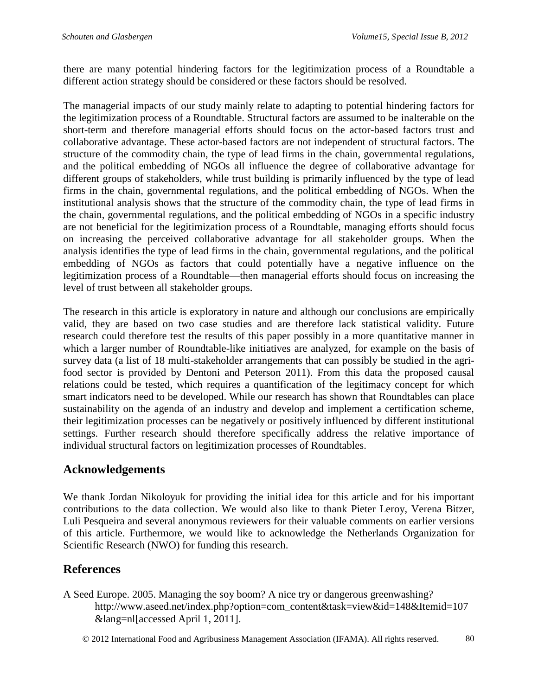there are many potential hindering factors for the legitimization process of a Roundtable a different action strategy should be considered or these factors should be resolved.

The managerial impacts of our study mainly relate to adapting to potential hindering factors for the legitimization process of a Roundtable. Structural factors are assumed to be inalterable on the short-term and therefore managerial efforts should focus on the actor-based factors trust and collaborative advantage. These actor-based factors are not independent of structural factors. The structure of the commodity chain, the type of lead firms in the chain, governmental regulations, and the political embedding of NGOs all influence the degree of collaborative advantage for different groups of stakeholders, while trust building is primarily influenced by the type of lead firms in the chain, governmental regulations, and the political embedding of NGOs. When the institutional analysis shows that the structure of the commodity chain, the type of lead firms in the chain, governmental regulations, and the political embedding of NGOs in a specific industry are not beneficial for the legitimization process of a Roundtable, managing efforts should focus on increasing the perceived collaborative advantage for all stakeholder groups. When the analysis identifies the type of lead firms in the chain, governmental regulations, and the political embedding of NGOs as factors that could potentially have a negative influence on the legitimization process of a Roundtable—then managerial efforts should focus on increasing the level of trust between all stakeholder groups.

The research in this article is exploratory in nature and although our conclusions are empirically valid, they are based on two case studies and are therefore lack statistical validity. Future research could therefore test the results of this paper possibly in a more quantitative manner in which a larger number of Roundtable-like initiatives are analyzed, for example on the basis of survey data (a list of 18 multi-stakeholder arrangements that can possibly be studied in the agrifood sector is provided by Dentoni and Peterson 2011). From this data the proposed causal relations could be tested, which requires a quantification of the legitimacy concept for which smart indicators need to be developed. While our research has shown that Roundtables can place sustainability on the agenda of an industry and develop and implement a certification scheme, their legitimization processes can be negatively or positively influenced by different institutional settings. Further research should therefore specifically address the relative importance of individual structural factors on legitimization processes of Roundtables.

#### **Acknowledgements**

We thank Jordan Nikoloyuk for providing the initial idea for this article and for his important contributions to the data collection. We would also like to thank Pieter Leroy, Verena Bitzer, Luli Pesqueira and several anonymous reviewers for their valuable comments on earlier versions of this article. Furthermore, we would like to acknowledge the Netherlands Organization for Scientific Research (NWO) for funding this research.

## **References**

A Seed Europe. 2005. Managing the soy boom? A nice try or dangerous greenwashing? http://www.aseed.net/index.php?option=com\_content&task=view&id=148&Itemid=107 &lang=nl[accessed April 1, 2011].

2012 International Food and Agribusiness Management Association (IFAMA). All rights reserved. 80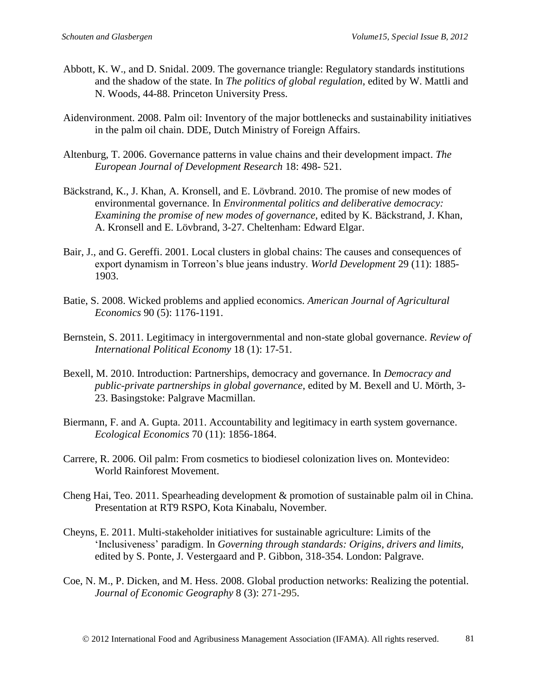- Abbott, K. W., and D. Snidal. 2009. The governance triangle: Regulatory standards institutions and the shadow of the state. In *The politics of global regulation*, edited by W. Mattli and N. Woods, 44-88. Princeton University Press.
- Aidenvironment. 2008. Palm oil: Inventory of the major bottlenecks and sustainability initiatives in the palm oil chain. DDE, Dutch Ministry of Foreign Affairs.
- Altenburg, T. 2006. Governance patterns in value chains and their development impact. *The European Journal of Development Research* 18: 498- 521.
- Bäckstrand, K., J. Khan, A. Kronsell, and E. Lövbrand. 2010. The promise of new modes of environmental governance. In *Environmental politics and deliberative democracy: Examining the promise of new modes of governance*, edited by K. Bäckstrand, J. Khan, A. Kronsell and E. Lövbrand, 3-27. Cheltenham: Edward Elgar.
- Bair, J., and G. Gereffi. 2001. Local clusters in global chains: The causes and consequences of export dynamism in Torreon's blue jeans industry. *World Development* 29 (11): 1885- 1903.
- Batie, S. 2008. Wicked problems and applied economics. *American Journal of Agricultural Economics* 90 (5): 1176-1191.
- Bernstein, S. 2011. Legitimacy in intergovernmental and non-state global governance. *Review of International Political Economy* 18 (1): 17-51.
- Bexell, M. 2010. Introduction: Partnerships, democracy and governance. In *Democracy and public-private partnerships in global governance*, edited by M. Bexell and U. Mörth, 3- 23. Basingstoke: Palgrave Macmillan.
- Biermann, F. and A. Gupta. 2011. Accountability and legitimacy in earth system governance. *Ecological Economics* 70 (11): 1856-1864.
- Carrere, R. 2006. Oil palm: From cosmetics to biodiesel colonization lives on*.* Montevideo: World Rainforest Movement.
- Cheng Hai, Teo. 2011. Spearheading development & promotion of sustainable palm oil in China. Presentation at RT9 RSPO, Kota Kinabalu, November.
- Cheyns, E. 2011. Multi-stakeholder initiatives for sustainable agriculture: Limits of the 'Inclusiveness' paradigm. In *Governing through standards: Origins, drivers and limits,* edited by S. Ponte, J. Vestergaard and P. Gibbon, 318-354. London: Palgrave.
- Coe, N. M., P. Dicken, and M. Hess. 2008. Global production networks: Realizing the potential. *Journal of Economic Geography* 8 (3): 271-295.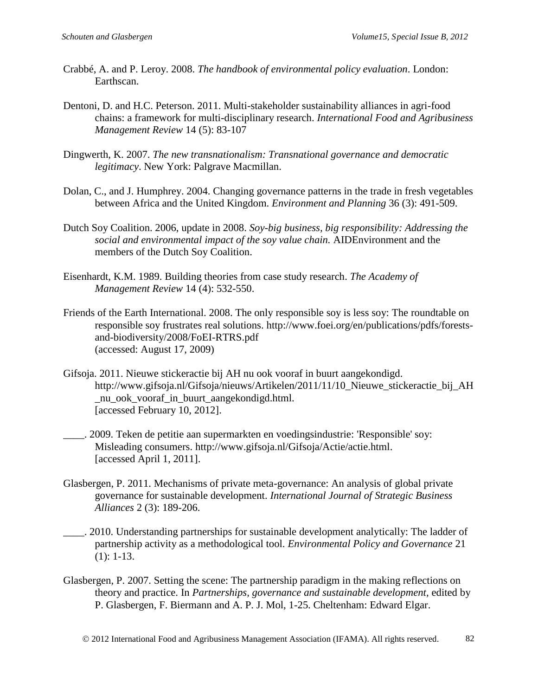- Crabbé, A. and P. Leroy. 2008. *The handbook of environmental policy evaluation*. London: Earthscan.
- Dentoni, D. and H.C. Peterson. 2011. Multi-stakeholder sustainability alliances in agri-food chains: a framework for multi-disciplinary research. *International Food and Agribusiness Management Review* 14 (5): 83-107
- Dingwerth, K. 2007. *The new transnationalism: Transnational governance and democratic legitimacy*. New York: Palgrave Macmillan.
- Dolan, C., and J. Humphrey. 2004. Changing governance patterns in the trade in fresh vegetables between Africa and the United Kingdom. *Environment and Planning* 36 (3): 491-509.
- Dutch Soy Coalition. 2006, update in 2008. *Soy-big business, big responsibility: Addressing the social and environmental impact of the soy value chain.* AIDEnvironment and the members of the Dutch Soy Coalition.
- Eisenhardt, K.M. 1989. Building theories from case study research. *The Academy of Management Review* 14 (4): 532-550.
- Friends of the Earth International. 2008. The only responsible soy is less soy: The roundtable on responsible soy frustrates real solutions. http://www.foei.org/en/publications/pdfs/forestsand-biodiversity/2008/FoEI-RTRS.pdf (accessed: August 17, 2009)
- Gifsoja. 2011. Nieuwe stickeractie bij AH nu ook vooraf in buurt aangekondigd. http://www.gifsoja.nl/Gifsoja/nieuws/Artikelen/2011/11/10\_Nieuwe\_stickeractie\_bij\_AH \_nu\_ook\_vooraf\_in\_buurt\_aangekondigd.html. [accessed February 10, 2012].
- \_\_\_\_. 2009. Teken de petitie aan supermarkten en voedingsindustrie: 'Responsible' soy: Misleading consumers. http://www.gifsoja.nl/Gifsoja/Actie/actie.html. [accessed April 1, 2011].
- Glasbergen, P. 2011. Mechanisms of private meta-governance: An analysis of global private governance for sustainable development. *International Journal of Strategic Business Alliances* 2 (3): 189-206.
- . 2010. Understanding partnerships for sustainable development analytically: The ladder of partnership activity as a methodological tool. *Environmental Policy and Governance* 21 (1): 1-13.
- Glasbergen, P. 2007. Setting the scene: The partnership paradigm in the making reflections on theory and practice. In *Partnerships, governance and sustainable development,* edited by P. Glasbergen, F. Biermann and A. P. J. Mol, 1-25. Cheltenham: Edward Elgar.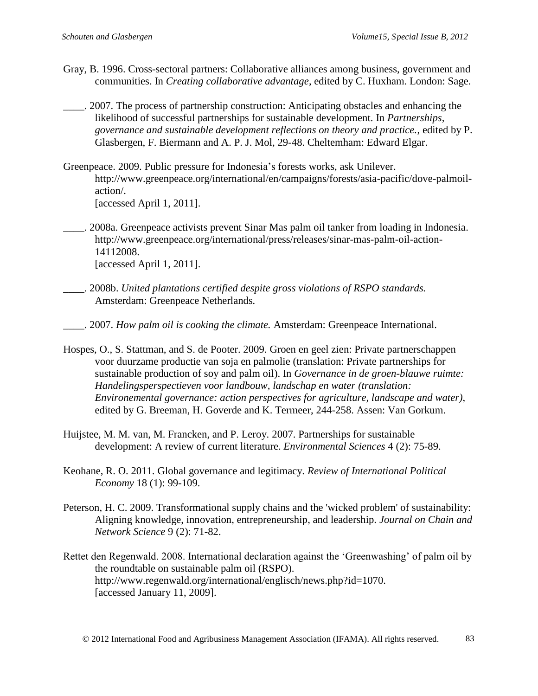- Gray, B. 1996. Cross-sectoral partners: Collaborative alliances among business, government and communities. In *Creating collaborative advantage*, edited by C. Huxham. London: Sage.
- \_\_\_\_. 2007. The process of partnership construction: Anticipating obstacles and enhancing the likelihood of successful partnerships for sustainable development. In *Partnerships, governance and sustainable development reflections on theory and practice.*, edited by P. Glasbergen, F. Biermann and A. P. J. Mol, 29-48. Cheltemham: Edward Elgar.
- Greenpeace. 2009. Public pressure for Indonesia's forests works, ask Unilever. http://www.greenpeace.org/international/en/campaigns/forests/asia-pacific/dove-palmoilaction/. [accessed April 1, 2011].
- \_\_\_\_. 2008a. Greenpeace activists prevent Sinar Mas palm oil tanker from loading in Indonesia. http://www.greenpeace.org/international/press/releases/sinar-mas-palm-oil-action-14112008. [accessed April 1, 2011].
- \_\_\_\_. 2008b. *United plantations certified despite gross violations of RSPO standards.*  Amsterdam: Greenpeace Netherlands*.*
- \_\_\_\_. 2007. *How palm oil is cooking the climate.* Amsterdam: Greenpeace International.
- Hospes, O., S. Stattman, and S. de Pooter. 2009. Groen en geel zien: Private partnerschappen voor duurzame productie van soja en palmolie (translation: Private partnerships for sustainable production of soy and palm oil). In *Governance in de groen-blauwe ruimte: Handelingsperspectieven voor landbouw, landschap en water (translation: Environemental governance: action perspectives for agriculture, landscape and water)*, edited by G. Breeman, H. Goverde and K. Termeer, 244-258. Assen: Van Gorkum.
- Huijstee, M. M. van, M. Francken, and P. Leroy. 2007. Partnerships for sustainable development: A review of current literature. *Environmental Sciences* 4 (2): 75-89.
- Keohane, R. O. 2011. Global governance and legitimacy. *Review of International Political Economy* 18 (1): 99-109.
- Peterson, H. C. 2009. Transformational supply chains and the 'wicked problem' of sustainability: Aligning knowledge, innovation, entrepreneurship, and leadership. *Journal on Chain and Network Science* 9 (2): 71-82.
- Rettet den Regenwald. 2008. International declaration against the 'Greenwashing' of palm oil by the roundtable on sustainable palm oil (RSPO). http://www.regenwald.org/international/englisch/news.php?id=1070. [accessed January 11, 2009].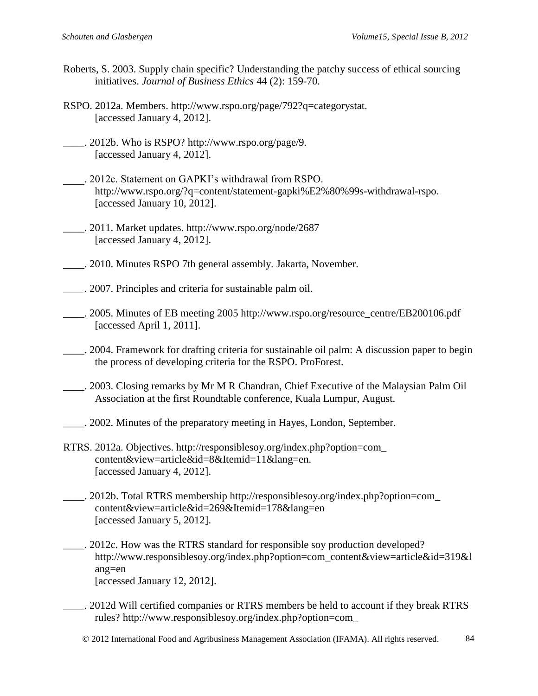- Roberts, S. 2003. Supply chain specific? Understanding the patchy success of ethical sourcing initiatives. *Journal of Business Ethics* 44 (2): 159-70.
- RSPO. 2012a. Members. http://www.rspo.org/page/792?q=categorystat. [accessed January 4, 2012].
- \_\_\_\_. 2012b. Who is RSPO? http://www.rspo.org/page/9. [accessed January 4, 2012].
- \_\_\_\_. 2012c. Statement on GAPKI's withdrawal from RSPO. http://www.rspo.org/?q=content/statement-gapki%E2%80%99s-withdrawal-rspo. [accessed January 10, 2012].
- \_\_\_\_. 2011. Market updates. http://www.rspo.org/node/2687 [accessed January 4, 2012].
- \_\_\_\_. 2010. Minutes RSPO 7th general assembly. Jakarta, November.
- \_\_\_\_. 2007. Principles and criteria for sustainable palm oil.
- \_\_\_\_. 2005. Minutes of EB meeting 2005 http://www.rspo.org/resource\_centre/EB200106.pdf [accessed April 1, 2011].
- \_\_\_\_. 2004. Framework for drafting criteria for sustainable oil palm: A discussion paper to begin the process of developing criteria for the RSPO. ProForest.
- \_\_\_\_. 2003. Closing remarks by Mr M R Chandran, Chief Executive of the Malaysian Palm Oil Association at the first Roundtable conference, Kuala Lumpur, August.
- \_\_\_\_. 2002. Minutes of the preparatory meeting in Hayes, London, September*.*
- RTRS. 2012a. Objectives. http://responsiblesoy.org/index.php?option=com\_ content&view=article&id=8&Itemid=11&lang=en. [accessed January 4, 2012].
- \_\_\_\_. 2012b. Total RTRS membership http://responsiblesoy.org/index.php?option=com\_ content&view=article&id=269&Itemid=178&lang=en [accessed January 5, 2012].
	- \_\_\_\_. 2012c. How was the RTRS standard for responsible soy production developed? http://www.responsiblesoy.org/index.php?option=com\_content&view=article&id=319&l ang=en [accessed January 12, 2012].
- \_\_\_\_. 2012d Will certified companies or RTRS members be held to account if they break RTRS rules? http://www.responsiblesoy.org/index.php?option=com\_
	- 2012 International Food and Agribusiness Management Association (IFAMA). All rights reserved. 84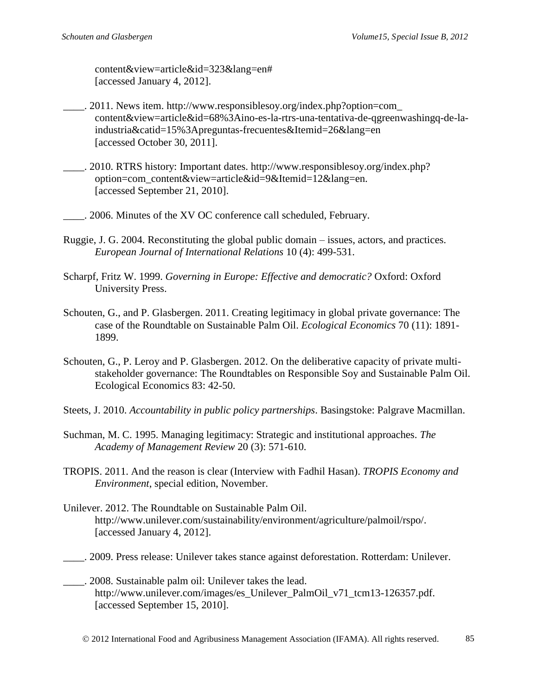content&view=article&id=323&lang=en# [accessed January 4, 2012].

- \_\_\_\_. 2011. News item. http://www.responsiblesoy.org/index.php?option=com\_ content&view=article&id=68%3Aino-es-la-rtrs-una-tentativa-de-qgreenwashingq-de-laindustria&catid=15%3Apreguntas-frecuentes&Itemid=26&lang=en [accessed October 30, 2011].
- \_\_\_\_. 2010. RTRS history: Important dates. http://www.responsiblesoy.org/index.php? option=com\_content&view=article&id=9&Itemid=12&lang=en. [accessed September 21, 2010].

\_\_\_\_. 2006. Minutes of the XV OC conference call scheduled, February.

- Ruggie, J. G. 2004. Reconstituting the global public domain issues, actors, and practices. *European Journal of International Relations* 10 (4): 499-531.
- Scharpf, Fritz W. 1999. *Governing in Europe: Effective and democratic?* Oxford: Oxford University Press.
- Schouten, G., and P. Glasbergen. 2011. Creating legitimacy in global private governance: The case of the Roundtable on Sustainable Palm Oil. *Ecological Economics* 70 (11): 1891- 1899.
- Schouten, G., P. Leroy and P. Glasbergen. 2012. On the deliberative capacity of private multistakeholder governance: The Roundtables on Responsible Soy and Sustainable Palm Oil. Ecological Economics 83: 42-50.
- Steets, J. 2010. *Accountability in public policy partnerships*. Basingstoke: Palgrave Macmillan.
- Suchman, M. C. 1995. Managing legitimacy: Strategic and institutional approaches. *The Academy of Management Review* 20 (3): 571-610.
- TROPIS. 2011. And the reason is clear (Interview with Fadhil Hasan). *TROPIS Economy and Environment*, special edition, November.
- Unilever. 2012. The Roundtable on Sustainable Palm Oil. http://www.unilever.com/sustainability/environment/agriculture/palmoil/rspo/. [accessed January 4, 2012].
- \_\_\_\_. 2009. Press release: Unilever takes stance against deforestation. Rotterdam: Unilever.
- \_\_\_\_. 2008. Sustainable palm oil: Unilever takes the lead. http://www.unilever.com/images/es\_Unilever\_PalmOil\_v71\_tcm13-126357.pdf. [accessed September 15, 2010].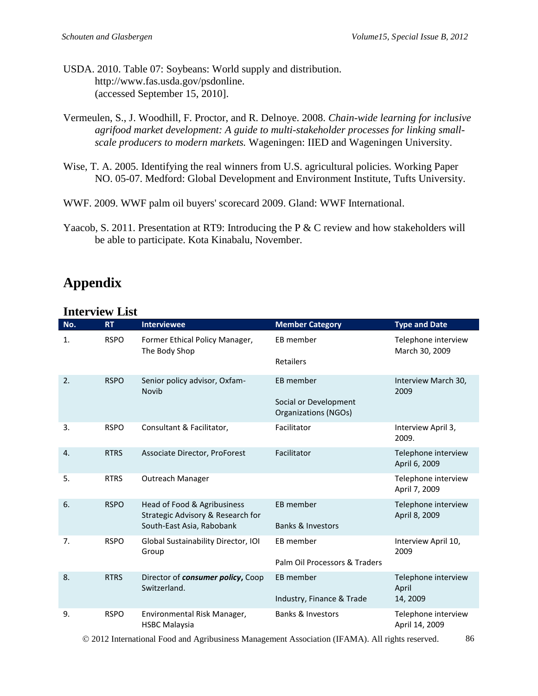- USDA. 2010. Table 07: Soybeans: World supply and distribution. http://www.fas.usda.gov/psdonline. (accessed September 15, 2010].
- Vermeulen, S., J. Woodhill, F. Proctor, and R. Delnoye. 2008. *Chain-wide learning for inclusive agrifood market development: A guide to multi-stakeholder processes for linking smallscale producers to modern markets.* Wageningen: IIED and Wageningen University.
- Wise, T. A. 2005. Identifying the real winners from U.S. agricultural policies*.* Working Paper NO. 05-07. Medford: Global Development and Environment Institute, Tufts University.
- WWF. 2009. WWF palm oil buyers' scorecard 2009. Gland: WWF International.
- Yaacob, S. 2011. Presentation at RT9: Introducing the P & C review and how stakeholders will be able to participate. Kota Kinabalu, November.

# **Appendix**

#### **Interview List**

| No. | <b>RT</b>   | <b>Interviewee</b>                                               | <b>Member Category</b>                               | <b>Type and Date</b>                  |
|-----|-------------|------------------------------------------------------------------|------------------------------------------------------|---------------------------------------|
| 1.  | <b>RSPO</b> | Former Ethical Policy Manager,<br>The Body Shop                  | EB member                                            | Telephone interview<br>March 30, 2009 |
|     |             |                                                                  | Retailers                                            |                                       |
| 2.  | <b>RSPO</b> | Senior policy advisor, Oxfam-<br>Novib                           | EB member                                            | Interview March 30,<br>2009           |
|     |             |                                                                  | Social or Development<br><b>Organizations (NGOs)</b> |                                       |
| 3.  | <b>RSPO</b> | Consultant & Facilitator,                                        | Facilitator                                          | Interview April 3,<br>2009.           |
| 4.  | <b>RTRS</b> | Associate Director, ProForest                                    | Facilitator                                          | Telephone interview<br>April 6, 2009  |
| 5.  | <b>RTRS</b> | Outreach Manager                                                 |                                                      | Telephone interview<br>April 7, 2009  |
| 6.  | <b>RSPO</b> | Head of Food & Agribusiness<br>Strategic Advisory & Research for | EB member                                            | Telephone interview<br>April 8, 2009  |
|     |             | South-East Asia, Rabobank                                        | <b>Banks &amp; Investors</b>                         |                                       |
| 7.  | <b>RSPO</b> | Global Sustainability Director, IOI<br>Group                     | EB member                                            | Interview April 10,<br>2009           |
|     |             |                                                                  | Palm Oil Processors & Traders                        |                                       |
| 8.  | <b>RTRS</b> | Director of consumer policy, Coop<br>Switzerland.                | EB member                                            | Telephone interview<br>April          |
|     |             |                                                                  | Industry, Finance & Trade                            | 14, 2009                              |
| 9.  | <b>RSPO</b> | Environmental Risk Manager,<br><b>HSBC Malaysia</b>              | <b>Banks &amp; Investors</b>                         | Telephone interview<br>April 14, 2009 |

© 2012 International Food and Agribusiness Management Association (IFAMA). All rights reserved. 86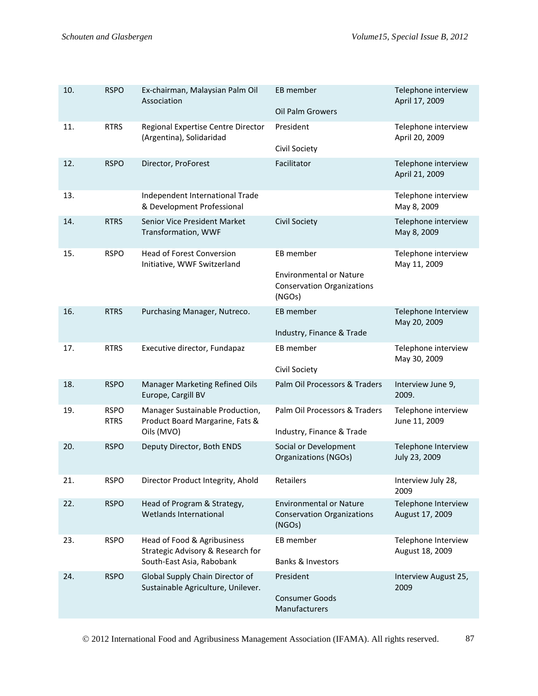| 10. | <b>RSPO</b>                | Ex-chairman, Malaysian Palm Oil<br>Association                                                | EB member<br>Oil Palm Growers                                                              | Telephone interview<br>April 17, 2009  |
|-----|----------------------------|-----------------------------------------------------------------------------------------------|--------------------------------------------------------------------------------------------|----------------------------------------|
| 11. | <b>RTRS</b>                | Regional Expertise Centre Director<br>(Argentina), Solidaridad                                | President<br>Civil Society                                                                 | Telephone interview<br>April 20, 2009  |
| 12. | <b>RSPO</b>                | Director, ProForest                                                                           | Facilitator                                                                                | Telephone interview<br>April 21, 2009  |
| 13. |                            | Independent International Trade<br>& Development Professional                                 |                                                                                            | Telephone interview<br>May 8, 2009     |
| 14. | <b>RTRS</b>                | Senior Vice President Market<br>Transformation, WWF                                           | <b>Civil Society</b>                                                                       | Telephone interview<br>May 8, 2009     |
| 15. | <b>RSPO</b>                | Head of Forest Conversion<br>Initiative, WWF Switzerland                                      | EB member<br><b>Environmental or Nature</b><br><b>Conservation Organizations</b><br>(NGOs) | Telephone interview<br>May 11, 2009    |
| 16. | <b>RTRS</b>                | Purchasing Manager, Nutreco.                                                                  | EB member<br>Industry, Finance & Trade                                                     | Telephone Interview<br>May 20, 2009    |
| 17. | <b>RTRS</b>                | Executive director, Fundapaz                                                                  | EB member<br>Civil Society                                                                 | Telephone interview<br>May 30, 2009    |
| 18. | <b>RSPO</b>                | Manager Marketing Refined Oils<br>Europe, Cargill BV                                          | Palm Oil Processors & Traders                                                              | Interview June 9,<br>2009.             |
| 19. | <b>RSPO</b><br><b>RTRS</b> | Manager Sustainable Production,<br>Product Board Margarine, Fats &<br>Oils (MVO)              | Palm Oil Processors & Traders<br>Industry, Finance & Trade                                 | Telephone interview<br>June 11, 2009   |
| 20. | <b>RSPO</b>                | Deputy Director, Both ENDS                                                                    | Social or Development<br><b>Organizations (NGOs)</b>                                       | Telephone Interview<br>July 23, 2009   |
| 21. | <b>RSPO</b>                | Director Product Integrity, Ahold                                                             | Retailers                                                                                  | Interview July 28,<br>2009             |
| 22. | <b>RSPO</b>                | Head of Program & Strategy,<br>Wetlands International                                         | <b>Environmental or Nature</b><br><b>Conservation Organizations</b><br>(NGOs)              | Telephone Interview<br>August 17, 2009 |
| 23. | <b>RSPO</b>                | Head of Food & Agribusiness<br>Strategic Advisory & Research for<br>South-East Asia, Rabobank | EB member<br><b>Banks &amp; Investors</b>                                                  | Telephone Interview<br>August 18, 2009 |
| 24. | <b>RSPO</b>                | Global Supply Chain Director of<br>Sustainable Agriculture, Unilever.                         | President<br><b>Consumer Goods</b><br>Manufacturers                                        | Interview August 25,<br>2009           |